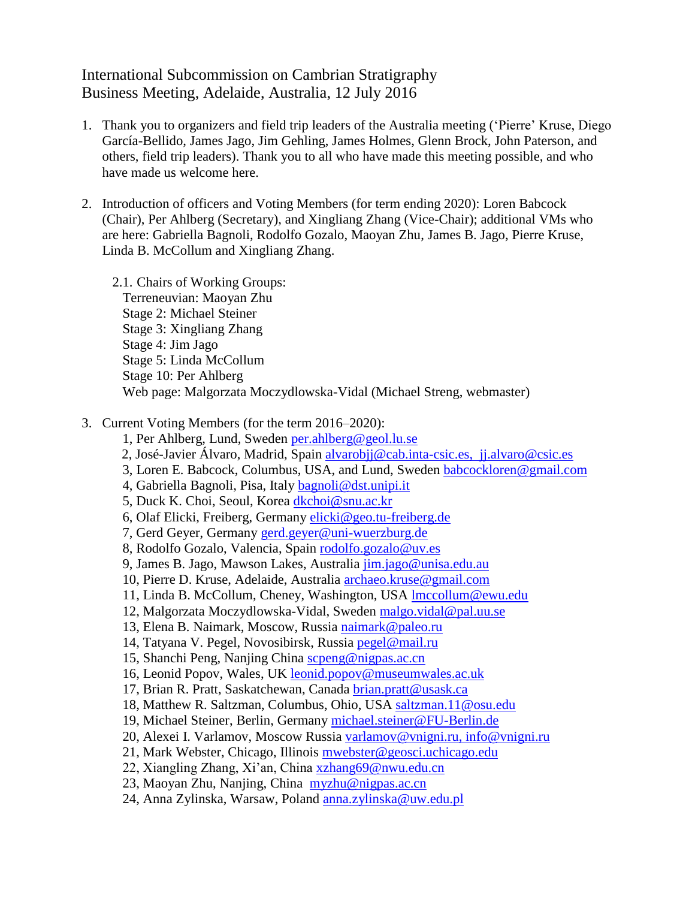## International Subcommission on Cambrian Stratigraphy Business Meeting, Adelaide, Australia, 12 July 2016

- 1. Thank you to organizers and field trip leaders of the Australia meeting ('Pierre' Kruse, Diego García-Bellido, James Jago, Jim Gehling, James Holmes, Glenn Brock, John Paterson, and others, field trip leaders). Thank you to all who have made this meeting possible, and who have made us welcome here.
- 2. Introduction of officers and Voting Members (for term ending 2020): Loren Babcock (Chair), Per Ahlberg (Secretary), and Xingliang Zhang (Vice-Chair); additional VMs who are here: Gabriella Bagnoli, Rodolfo Gozalo, Maoyan Zhu, James B. Jago, Pierre Kruse, Linda B. McCollum and Xingliang Zhang.
	- 2.1. Chairs of Working Groups: Terreneuvian: Maoyan Zhu Stage 2: Michael Steiner Stage 3: Xingliang Zhang Stage 4: Jim Jago Stage 5: Linda McCollum Stage 10: Per Ahlberg Web page: Malgorzata Moczydlowska-Vidal (Michael Streng, webmaster)
- 3. Current Voting Members (for the term 2016–2020):
	- 1, Per Ahlberg, Lund, Sweden [per.ahlberg@geol.lu.se](mailto:per.ahlberg@geol.lu.se)
	- 2, José-Javier Álvaro, Madrid, Spain [alvarobjj@cab.inta-csic.es,](mailto:alvarobjj@cab.inta-csic.es) [jj.alvaro@csic.es](mailto:jj.alvaro@csic.es)
	- 3, Loren E. Babcock, Columbus, USA, and Lund, Sweden [babcockloren@gmail.com](mailto:babcockloren@gmail.com)
	- 4, Gabriella Bagnoli, Pisa, Italy [bagnoli@dst.unipi.it](mailto:bagnoli@dst.unipi.it)
	- 5, Duck K. Choi, Seoul, Korea [dkchoi@snu.ac.kr](mailto:dkchoi@snu.ac.kr)
	- 6, Olaf Elicki, Freiberg, Germany [elicki@geo.tu-freiberg.de](mailto:elicki@geo.tu-freiberg.de)
	- 7, Gerd Geyer, Germany [gerd.geyer@uni-wuerzburg.de](mailto:gerd.geyer@uni-wuerzburg.de)
	- 8, Rodolfo Gozalo, Valencia, Spain [rodolfo.gozalo@uv.es](mailto:rodolfo.gozalo@uv.es)
	- 9, James B. Jago, Mawson Lakes, Australia [jim.jago@unisa.edu.au](mailto:jim.jago@unisa.edu.au)
	- 10, Pierre D. Kruse, Adelaide, Australia [archaeo.kruse@gmail.com](mailto:archaeo.kruse@gmail.com)
	- 11, Linda B. McCollum, Cheney, Washington, USA [lmccollum@ewu.edu](mailto:lmccollum@ewu.edu)
	- 12, Malgorzata Moczydlowska-Vidal, Sweden [malgo.vidal@pal.uu.se](mailto:malgo.vidal@pal.uu.se)
	- 13, Elena B. Naimark, Moscow, Russia [naimark@paleo.ru](mailto:naimark@paleo.ru)
	- 14, Tatyana V. Pegel, Novosibirsk, Russia [pegel@mail.ru](mailto:pegel@mail.ru)
	- 15, Shanchi Peng, Nanjing China [scpeng@nigpas.ac.cn](mailto:scpeng@nigpas.ac.cn)
	- 16, Leonid Popov, Wales, UK leonid.popov@museumwales.ac.uk
	- 17, Brian R. Pratt, Saskatchewan, Canada [brian.pratt@usask.ca](mailto:brian.pratt@usask.ca)
	- 18, Matthew R. Saltzman, Columbus, Ohio, USA [saltzman.11@osu.edu](mailto:saltzman.11@osu.edu)
	- 19, Michael Steiner, Berlin, Germany [michael.steiner@FU-Berlin.de](mailto:michael.steiner@FU-Berlin.de)
	- 20, Alexei I. Varlamov, Moscow Russia [varlamov@vnigni.ru,](mailto:varlamov@vnigni.ru) [info@vnigni.ru](mailto:info@vnigni.ru)
	- 21, Mark Webster, Chicago, Illinois [mwebster@geosci.uchicago.edu](mailto:mwebster@geosci.uchicago.edu)
	- 22, Xiangling Zhang, Xi'an, China [xzhang69@nwu.edu.cn](mailto:xzhang69@nwu.edu.cn)
	- 23, Maoyan Zhu, Nanjing, China [myzhu@nigpas.ac.cn](mailto:myzhu@nigpas.ac.cn)
	- 24, Anna Zylinska, Warsaw, Poland [anna.zylinska@uw.edu.pl](mailto:anna.zylinska@uw.edu.pl)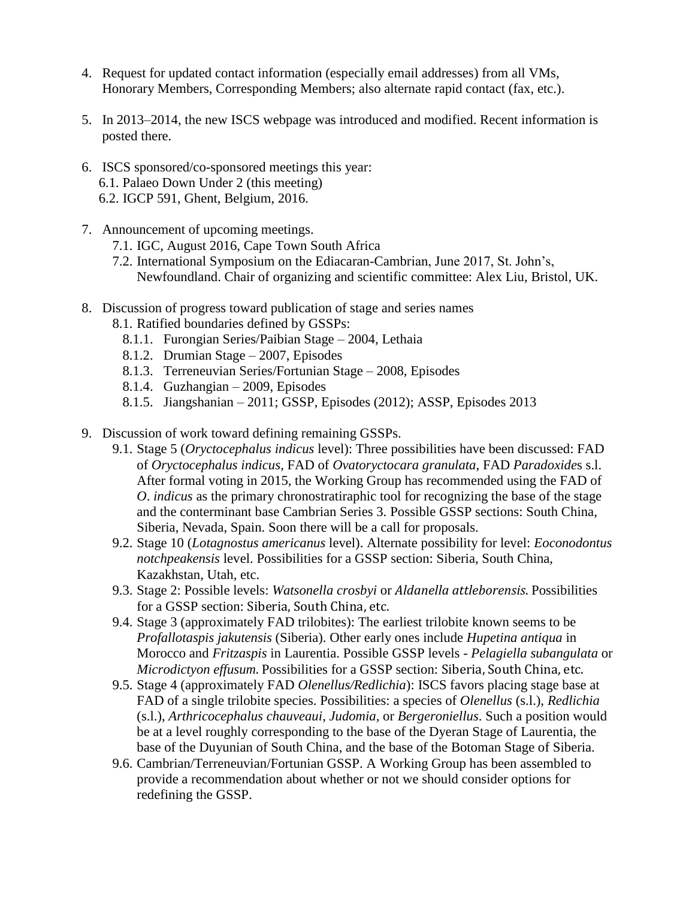- 4. Request for updated contact information (especially email addresses) from all VMs, Honorary Members, Corresponding Members; also alternate rapid contact (fax, etc.).
- 5. In 2013–2014, the new ISCS webpage was introduced and modified. Recent information is posted there.
- 6. ISCS sponsored/co-sponsored meetings this year: 6.1. Palaeo Down Under 2 (this meeting) 6.2. IGCP 591, Ghent, Belgium, 2016.
- 7. Announcement of upcoming meetings.
	- 7.1. IGC, August 2016, Cape Town South Africa
	- 7.2. International Symposium on the Ediacaran-Cambrian, June 2017, St. John's, Newfoundland. Chair of organizing and scientific committee: Alex Liu, Bristol, UK.
- 8. Discussion of progress toward publication of stage and series names
	- 8.1. Ratified boundaries defined by GSSPs:
		- 8.1.1. Furongian Series/Paibian Stage 2004, Lethaia
		- 8.1.2. Drumian Stage 2007, Episodes
		- 8.1.3. Terreneuvian Series/Fortunian Stage 2008, Episodes
		- 8.1.4. Guzhangian 2009, Episodes
		- 8.1.5. Jiangshanian 2011; GSSP, Episodes (2012); ASSP, Episodes 2013
- 9. Discussion of work toward defining remaining GSSPs.
	- 9.1. Stage 5 (*Oryctocephalus indicus* level): Three possibilities have been discussed: FAD of *Oryctocephalus indicus,* FAD of *Ovatoryctocara granulata*, FAD *Paradoxide*s s.l. After formal voting in 2015, the Working Group has recommended using the FAD of *O*. *indicus* as the primary chronostratiraphic tool for recognizing the base of the stage and the conterminant base Cambrian Series 3. Possible GSSP sections: South China, Siberia, Nevada, Spain. Soon there will be a call for proposals.
	- 9.2. Stage 10 (*Lotagnostus americanus* level). Alternate possibility for level: *Eoconodontus notchpeakensis* level. Possibilities for a GSSP section: Siberia, South China, Kazakhstan, Utah, etc.
	- 9.3. Stage 2: Possible levels: *Watsonella crosbyi* or *Aldanella attleborensis*. Possibilities for a GSSP section: Siberia, South China, etc.
	- 9.4. Stage 3 (approximately FAD trilobites): The earliest trilobite known seems to be *Profallotaspis jakutensis* (Siberia). Other early ones include *Hupetina antiqua* in Morocco and *Fritzaspis* in Laurentia. Possible GSSP levels - *Pelagiella subangulata* or *Microdictyon effusum*. Possibilities for a GSSP section: Siberia, South China, etc.
	- 9.5. Stage 4 (approximately FAD *Olenellus/Redlichia*): ISCS favors placing stage base at FAD of a single trilobite species. Possibilities: a species of *Olenellus* (s.l.), *Redlichia* (s.l.), *Arthricocephalus chauveaui*, *Judomia,* or *Bergeroniellus*. Such a position would be at a level roughly corresponding to the base of the Dyeran Stage of Laurentia, the base of the Duyunian of South China, and the base of the Botoman Stage of Siberia.
	- 9.6. Cambrian/Terreneuvian/Fortunian GSSP. A Working Group has been assembled to provide a recommendation about whether or not we should consider options for redefining the GSSP.